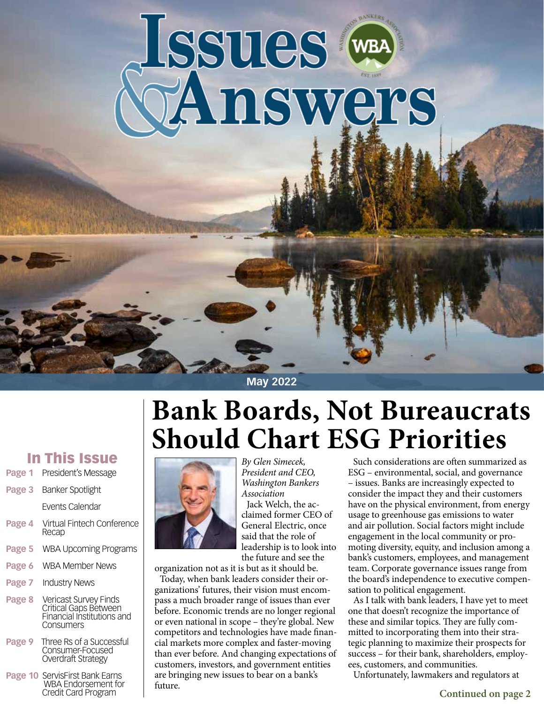

**May 2022**

## *By Glen Simecek,*  **Bank Boards, Not Bureaucrats Should Chart ESG Priorities**



*President and CEO, Washington Bankers Association* Jack Welch, the acclaimed former CEO of General Electric, once said that the role of leadership is to look into the future and see the

organization not as it is but as it should be.

Today, when bank leaders consider their organizations' futures, their vision must encompass a much broader range of issues than ever before. Economic trends are no longer regional or even national in scope – they're global. New competitors and technologies have made financial markets more complex and faster-moving than ever before. And changing expectations of customers, investors, and government entities are bringing new issues to bear on a bank's future.

Such considerations are often summarized as ESG – environmental, social, and governance – issues. Banks are increasingly expected to consider the impact they and their customers have on the physical environment, from energy usage to greenhouse gas emissions to water and air pollution. Social factors might include engagement in the local community or promoting diversity, equity, and inclusion among a bank's customers, employees, and management team. Corporate governance issues range from the board's independence to executive compensation to political engagement.

As I talk with bank leaders, I have yet to meet one that doesn't recognize the importance of these and similar topics. They are fully committed to incorporating them into their strategic planning to maximize their prospects for success – for their bank, shareholders, employees, customers, and communities.

Unfortunately, lawmakers and regulators at

#### In This Issue

**Page 1** President's Message

**Page 3** Banker Spotlight Events Calendar

- **Page 4** Virtual Fintech Conference Recap
- **Page 5** WBA Upcoming Programs
- **Page 6** WBA Member News
- **Page 7** Industry News
- **Page 8** Vericast Survey Finds Critical Gaps Between Financial Institutions and **Consumers**
- **Page 9** Three Rs of a Successful Consumer-Focused Overdraft Strategy
- **Page 10** ServisFirst Bank Earns WBA Endorsement for Credit Card Program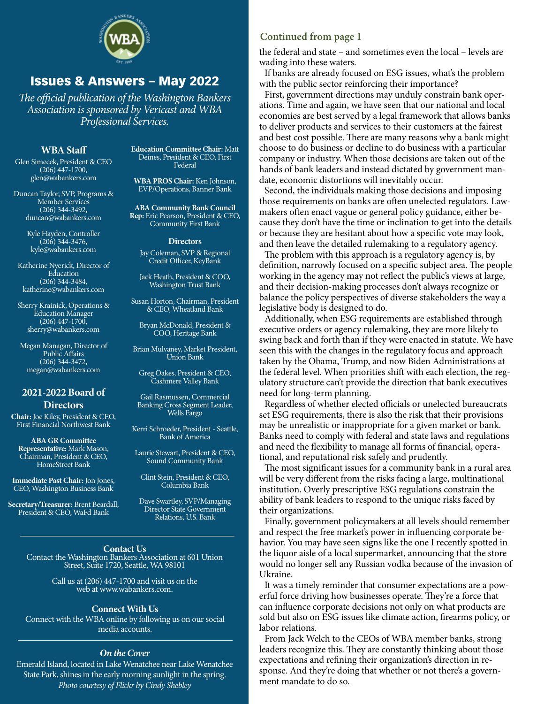

#### Issues & Answers – May 2022

*The official publication of the Washington Bankers Association is sponsored by Vericast and WBA Professional Services.*

#### **WBA Staff**

Glen Simecek, President & CEO (206) 447-1700, glen@wabankers.com

Duncan Taylor, SVP, Programs & Member Services (206) 344-3492, duncan@wabankers.com

> Kyle Hayden, Controller (206) 344-3476, kyle@wabankers.com

Katherine Nyerick, Director of Education (206) 344-3484, katherine@wabankers.com

Sherry Krainick, Operations & Education Manager  $(206)$  447-1700, sherry@wabankers.com

Megan Managan, Director of Public Affairs (206) 344-3472, megan@wabankers.com

#### **2021-2022 Board of Directors**

**Chair:** Joe Kiley, President & CEO, First Financial Northwest Bank

**ABA GR Committee Representative:** Mark Mason, Chairman, President & CEO, HomeStreet Bank

**Immediate Past Chair:** Jon Jones, CEO, Washington Business Bank

**Secretary/Treasurer:** Brent Beardall, President & CEO, WaFd Bank

**Education Committee Chair:** Matt Deines, President & CEO, First Federal

**WBA PROS Chair:** Ken Johnson, EVP/Operations, Banner Bank

**ABA Community Bank Council Rep:** Eric Pearson, President & CEO, Community First Bank

#### **Directors**

Jay Coleman, SVP & Regional Credit Officer, KeyBank

Jack Heath, President & COO, Washington Trust Bank

Susan Horton, Chairman, President & CEO, Wheatland Bank

Bryan McDonald, President & COO, Heritage Bank

Brian Mulvaney, Market President, Union Bank

Greg Oakes, President & CEO, Cashmere Valley Bank

Gail Rasmussen, Commercial Banking Cross Segment Leader, Wells Fargo

Kerri Schroeder, President - Seattle, Bank of America

Laurie Stewart, President & CEO, Sound Community Bank

Clint Stein, President & CEO, Columbia Bank

Dave Swartley, SVP/Managing Director State Government Relations, U.S. Bank

#### **Contact Us**

Contact the Washington Bankers Association at 601 Union Street, Suite 1720, Seattle, WA 98101

Call us at (206) 447-1700 and visit us on the web at www.wabankers.com.

#### **Connect With Us**

Connect with the WBA online by following us on our social media accounts.

#### *On the Cover*

Emerald Island, located in Lake Wenatchee near Lake Wenatchee State Park, shines in the early morning sunlight in the spring. *Photo courtesy of Flickr by Cindy Shebley*

#### **Continued from page 1**

the federal and state – and sometimes even the local – levels are wading into these waters.

If banks are already focused on ESG issues, what's the problem with the public sector reinforcing their importance?

First, government directions may unduly constrain bank operations. Time and again, we have seen that our national and local economies are best served by a legal framework that allows banks to deliver products and services to their customers at the fairest and best cost possible. There are many reasons why a bank might choose to do business or decline to do business with a particular company or industry. When those decisions are taken out of the hands of bank leaders and instead dictated by government mandate, economic distortions will inevitably occur.

Second, the individuals making those decisions and imposing those requirements on banks are often unelected regulators. Lawmakers often enact vague or general policy guidance, either because they don't have the time or inclination to get into the details or because they are hesitant about how a specific vote may look, and then leave the detailed rulemaking to a regulatory agency.

The problem with this approach is a regulatory agency is, by definition, narrowly focused on a specific subject area. The people working in the agency may not reflect the public's views at large, and their decision-making processes don't always recognize or balance the policy perspectives of diverse stakeholders the way a legislative body is designed to do.

Additionally, when ESG requirements are established through executive orders or agency rulemaking, they are more likely to swing back and forth than if they were enacted in statute. We have seen this with the changes in the regulatory focus and approach taken by the Obama, Trump, and now Biden Administrations at the federal level. When priorities shift with each election, the regulatory structure can't provide the direction that bank executives need for long-term planning.

Regardless of whether elected officials or unelected bureaucrats set ESG requirements, there is also the risk that their provisions may be unrealistic or inappropriate for a given market or bank. Banks need to comply with federal and state laws and regulations and need the flexibility to manage all forms of financial, operational, and reputational risk safely and prudently.

The most significant issues for a community bank in a rural area will be very different from the risks facing a large, multinational institution. Overly prescriptive ESG regulations constrain the ability of bank leaders to respond to the unique risks faced by their organizations.

Finally, government policymakers at all levels should remember and respect the free market's power in influencing corporate behavior. You may have seen signs like the one I recently spotted in the liquor aisle of a local supermarket, announcing that the store would no longer sell any Russian vodka because of the invasion of Ukraine.

It was a timely reminder that consumer expectations are a powerful force driving how businesses operate. They're a force that can influence corporate decisions not only on what products are sold but also on ESG issues like climate action, firearms policy, or labor relations.

From Jack Welch to the CEOs of WBA member banks, strong leaders recognize this. They are constantly thinking about those expectations and refining their organization's direction in response. And they're doing that whether or not there's a government mandate to do so.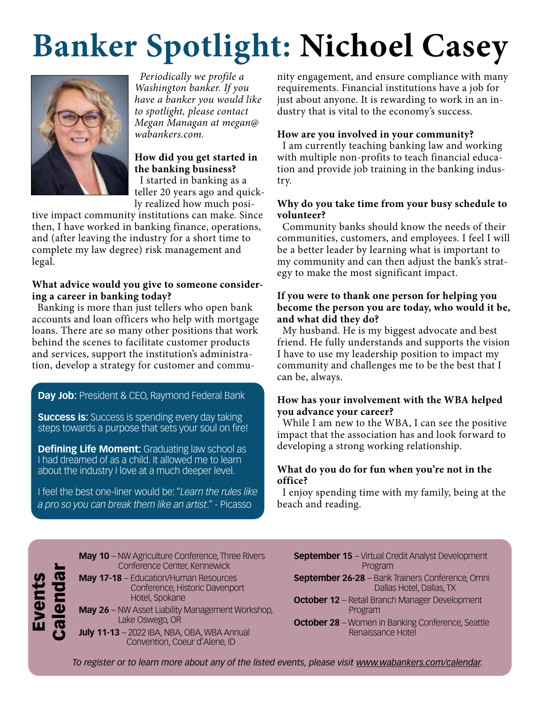# **Banker Spotlight: Nichoel Casey**



*Periodically we profile a Washington banker. If you have a banker you would like to spotlight, please contact Megan Managan at megan@ wabankers.com.*

#### **How did you get started in the banking business?** I started in banking as a teller 20 years ago and quickly realized how much posi-

tive impact community institutions can make. Since then, I have worked in banking finance, operations, and (after leaving the industry for a short time to complete my law degree) risk management and legal.

#### **What advice would you give to someone considering a career in banking today?**

Banking is more than just tellers who open bank accounts and loan officers who help with mortgage loans. There are so many other positions that work behind the scenes to facilitate customer products and services, support the institution's administration, develop a strategy for customer and commu-

#### **Day Job:** President & CEO, Raymond Federal Bank

**Success is:** Success is spending every day taking steps towards a purpose that sets your soul on fire!

**Defining Life Moment:** Graduating law school as I had dreamed of as a child. It allowed me to learn about the industry I love at a much deeper level.

I feel the best one-liner would be: "*Learn the rules like a pro so you can break them like an artist*." - Picasso

nity engagement, and ensure compliance with many requirements. Financial institutions have a job for just about anyone. It is rewarding to work in an industry that is vital to the economy's success.

#### **How are you involved in your community?**

I am currently teaching banking law and working with multiple non-profits to teach financial education and provide job training in the banking industry.

#### **Why do you take time from your busy schedule to volunteer?**

Community banks should know the needs of their communities, customers, and employees. I feel I will be a better leader by learning what is important to my community and can then adjust the bank's strategy to make the most significant impact.

#### **If you were to thank one person for helping you become the person you are today, who would it be, and what did they do?**

My husband. He is my biggest advocate and best friend. He fully understands and supports the vision I have to use my leadership position to impact my community and challenges me to be the best that I can be, always.

#### **How has your involvement with the WBA helped you advance your career?**

While I am new to the WBA, I can see the positive impact that the association has and look forward to developing a strong working relationship.

#### **What do you do for fun when you're not in the office?**

I enjoy spending time with my family, being at the beach and reading.



| <b>May 10</b> - NW Agriculture Conference, Three Rivers |  |
|---------------------------------------------------------|--|
| Conference Center, Kennewick                            |  |

**May 17-18** – Education/Human Resources Conference, Historic Davenport Hotel, Spokane

- **May 26**  NW Asset Liability Management Workshop, Lake Oswego, OR
- **July 11-13**  2022 IBA, NBA, OBA, WBA Annual Convention, Coeur d'Alene, ID
- **September 15**  Virtual Credit Analyst Development Program
- **September 26-28**  Bank Trainers Conference, Omni Dallas Hotel, Dallas, TX
- **October 12**  Retail Branch Manager Development Program
- **October 28** Women in Banking Conference, Seattle Renaissance Hotel

*To register or to learn more about any of the listed events, please visit www.wabankers.com/calendar.*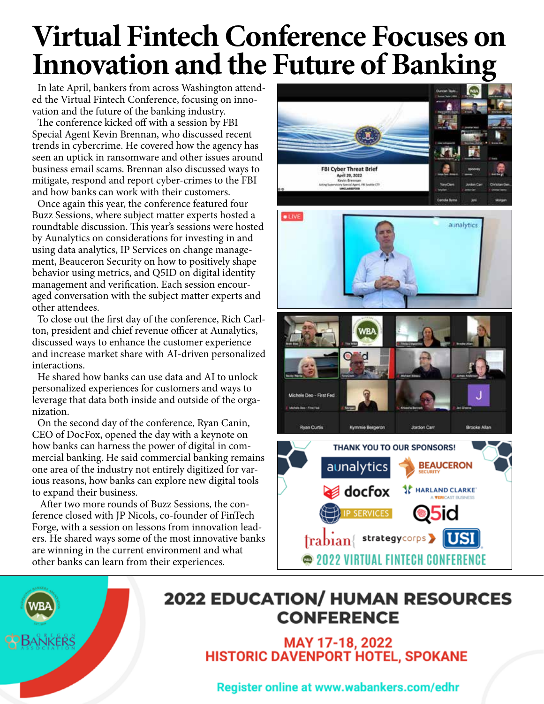# **Virtual Fintech Conference Focuses on Innovation and the Future of Banking**

In late April, bankers from across Washington attended the Virtual Fintech Conference, focusing on innovation and the future of the banking industry.

The conference kicked off with a session by FBI Special Agent Kevin Brennan, who discussed recent trends in cybercrime. He covered how the agency has seen an uptick in ransomware and other issues around business email scams. Brennan also discussed ways to mitigate, respond and report cyber-crimes to the FBI and how banks can work with their customers.

Once again this year, the conference featured four Buzz Sessions, where subject matter experts hosted a roundtable discussion. This year's sessions were hosted by Aunalytics on considerations for investing in and using data analytics, IP Services on change management, Beauceron Security on how to positively shape behavior using metrics, and Q5ID on digital identity management and verification. Each session encouraged conversation with the subject matter experts and other attendees.

To close out the first day of the conference, Rich Carlton, president and chief revenue officer at Aunalytics, discussed ways to enhance the customer experience and increase market share with AI-driven personalized interactions.

He shared how banks can use data and AI to unlock personalized experiences for customers and ways to leverage that data both inside and outside of the organization.

On the second day of the conference, Ryan Canin, CEO of DocFox, opened the day with a keynote on how banks can harness the power of digital in commercial banking. He said commercial banking remains one area of the industry not entirely digitized for various reasons, how banks can explore new digital tools to expand their business.

 After two more rounds of Buzz Sessions, the conference closed with JP Nicols, co-founder of FinTech Forge, with a session on lessons from innovation leaders. He shared ways some of the most innovative banks are winning in the current environment and what other banks can learn from their experiences.









### **2022 EDUCATION/ HUMAN RESOURCES CONFERENCE**

MAY 17-18, 2022 **HISTORIC DAVENPORT HOTEL, SPOKANE** 

Register online at www.wabankers.com/edhr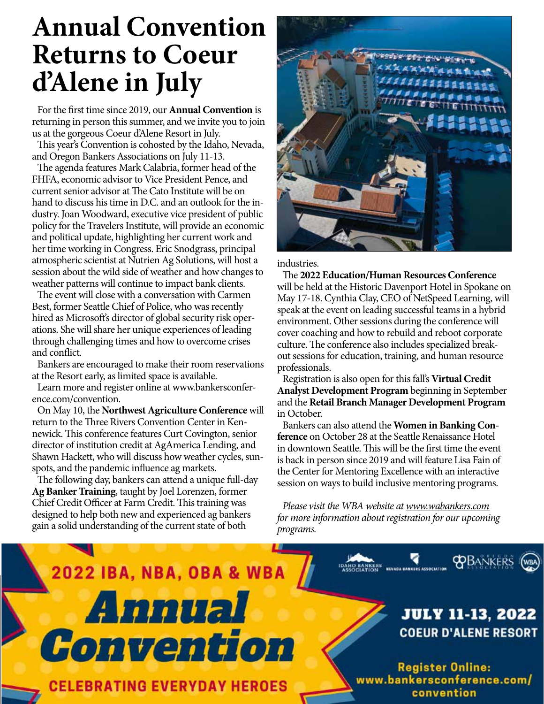# **Annual Convention Returns to Coeur d'Alene in July**

For the first time since 2019, our **Annual Convention** is returning in person this summer, and we invite you to join us at the gorgeous Coeur d'Alene Resort in July.

This year's Convention is cohosted by the Idaho, Nevada, and Oregon Bankers Associations on July 11-13.

The agenda features Mark Calabria, former head of the FHFA, economic advisor to Vice President Pence, and current senior advisor at The Cato Institute will be on hand to discuss his time in D.C. and an outlook for the industry. Joan Woodward, executive vice president of public policy for the Travelers Institute, will provide an economic and political update, highlighting her current work and her time working in Congress. Eric Snodgrass, principal atmospheric scientist at Nutrien Ag Solutions, will host a session about the wild side of weather and how changes to weather patterns will continue to impact bank clients.

The event will close with a conversation with Carmen Best, former Seattle Chief of Police, who was recently hired as Microsoft's director of global security risk operations. She will share her unique experiences of leading through challenging times and how to overcome crises and conflict.

Bankers are encouraged to make their room reservations at the Resort early, as limited space is available.

Learn more and register online at www.bankersconference.com/convention.

On May 10, the **Northwest Agriculture Conference** will return to the Three Rivers Convention Center in Kennewick. This conference features Curt Covington, senior director of institution credit at AgAmerica Lending, and Shawn Hackett, who will discuss how weather cycles, sunspots, and the pandemic influence ag markets.

The following day, bankers can attend a unique full-day **Ag Banker Training**, taught by Joel Lorenzen, former Chief Credit Officer at Farm Credit. This training was designed to help both new and experienced ag bankers gain a solid understanding of the current state of both



industries.

The **2022 Education/Human Resources Conference**

will be held at the Historic Davenport Hotel in Spokane on May 17-18. Cynthia Clay, CEO of NetSpeed Learning, will speak at the event on leading successful teams in a hybrid environment. Other sessions during the conference will cover coaching and how to rebuild and reboot corporate culture. The conference also includes specialized breakout sessions for education, training, and human resource professionals.

Registration is also open for this fall's **Virtual Credit Analyst Development Program** beginning in September and the **Retail Branch Manager Development Program** in October.

Bankers can also attend the **Women in Banking Conference** on October 28 at the Seattle Renaissance Hotel in downtown Seattle. This will be the first time the event is back in person since 2019 and will feature Lisa Fain of the Center for Mentoring Excellence with an interactive session on ways to build inclusive mentoring programs.

*Please visit the WBA website at www.wabankers.com for more information about registration for our upcoming programs.*

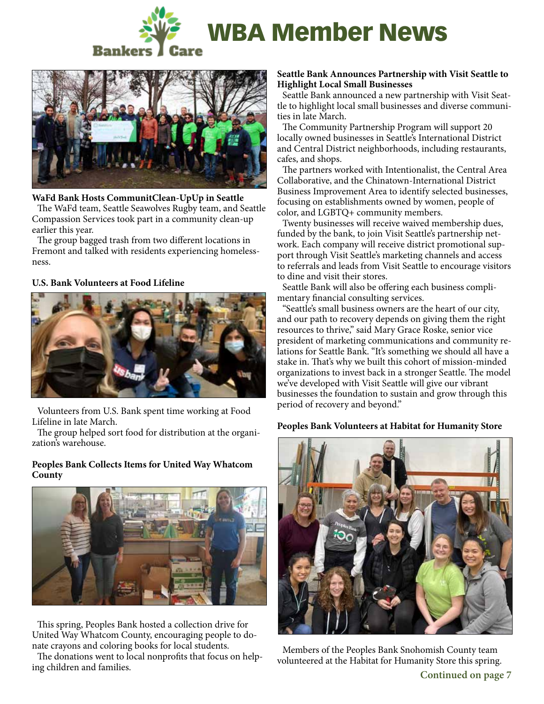



#### **WaFd Bank Hosts CommunitClean-UpUp in Seattle**

The WaFd team, Seattle Seawolves Rugby team, and Seattle Compassion Services took part in a community clean-up earlier this year.

The group bagged trash from two different locations in Fremont and talked with residents experiencing homelessness.

#### **U.S. Bank Volunteers at Food Lifeline**



Volunteers from U.S. Bank spent time working at Food Lifeline in late March.

The group helped sort food for distribution at the organization's warehouse.

#### **Peoples Bank Collects Items for United Way Whatcom County**



This spring, Peoples Bank hosted a collection drive for United Way Whatcom County, encouraging people to donate crayons and coloring books for local students.

The donations went to local nonprofits that focus on helping children and families.

#### **Seattle Bank Announces Partnership with Visit Seattle to Highlight Local Small Businesses**

Seattle Bank announced a new partnership with Visit Seattle to highlight local small businesses and diverse communities in late March.

The Community Partnership Program will support 20 locally owned businesses in Seattle's International District and Central District neighborhoods, including restaurants, cafes, and shops.

The partners worked with Intentionalist, the Central Area Collaborative, and the Chinatown-International District Business Improvement Area to identify selected businesses, focusing on establishments owned by women, people of color, and LGBTQ+ community members.

Twenty businesses will receive waived membership dues, funded by the bank, to join Visit Seattle's partnership network. Each company will receive district promotional support through Visit Seattle's marketing channels and access to referrals and leads from Visit Seattle to encourage visitors to dine and visit their stores.

Seattle Bank will also be offering each business complimentary financial consulting services.

"Seattle's small business owners are the heart of our city, and our path to recovery depends on giving them the right resources to thrive," said Mary Grace Roske, senior vice president of marketing communications and community relations for Seattle Bank. "It's something we should all have a stake in. That's why we built this cohort of mission-minded organizations to invest back in a stronger Seattle. The model we've developed with Visit Seattle will give our vibrant businesses the foundation to sustain and grow through this period of recovery and beyond."

#### **Peoples Bank Volunteers at Habitat for Humanity Store**



Members of the Peoples Bank Snohomish County team volunteered at the Habitat for Humanity Store this spring.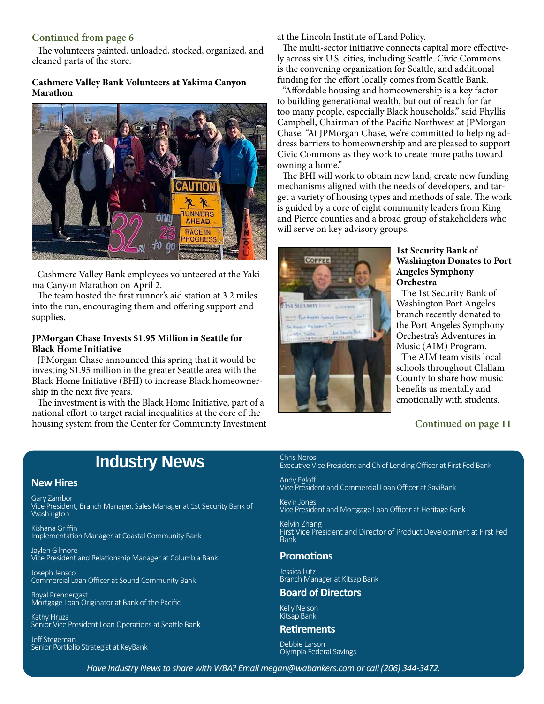#### **Continued from page 6**

The volunteers painted, unloaded, stocked, organized, and cleaned parts of the store.

#### **Cashmere Valley Bank Volunteers at Yakima Canyon Marathon**



Cashmere Valley Bank employees volunteered at the Yakima Canyon Marathon on April 2.

The team hosted the first runner's aid station at 3.2 miles into the run, encouraging them and offering support and supplies.

#### **JPMorgan Chase Invests \$1.95 Million in Seattle for Black Home Initiative**

JPMorgan Chase announced this spring that it would be investing \$1.95 million in the greater Seattle area with the Black Home Initiative (BHI) to increase Black homeownership in the next five years.

The investment is with the Black Home Initiative, part of a national effort to target racial inequalities at the core of the housing system from the Center for Community Investment at the Lincoln Institute of Land Policy.

The multi-sector initiative connects capital more effectively across six U.S. cities, including Seattle. Civic Commons is the convening organization for Seattle, and additional funding for the effort locally comes from Seattle Bank.

"Affordable housing and homeownership is a key factor to building generational wealth, but out of reach for far too many people, especially Black households," said Phyllis Campbell, Chairman of the Pacific Northwest at JPMorgan Chase. "At JPMorgan Chase, we're committed to helping address barriers to homeownership and are pleased to support Civic Commons as they work to create more paths toward owning a home."

The BHI will work to obtain new land, create new funding mechanisms aligned with the needs of developers, and target a variety of housing types and methods of sale. The work is guided by a core of eight community leaders from King and Pierce counties and a broad group of stakeholders who will serve on key advisory groups.



#### **1st Security Bank of Washington Donates to Port Angeles Symphony Orchestra**

The 1st Security Bank of Washington Port Angeles branch recently donated to the Port Angeles Symphony Orchestra's Adventures in Music (AIM) Program.

The AIM team visits local schools throughout Clallam County to share how music benefits us mentally and emotionally with students.

#### **Continued on page 11**

### **Industry News**

#### **New Hires**

Gary Zambor Vice President, Branch Manager, Sales Manager at 1st Security Bank of Washington

Kishana Griffin Implementation Manager at Coastal Community Bank

Jaylen Gilmore Vice President and Relationship Manager at Columbia Bank

Joseph Jensco Commercial Loan Officer at Sound Community Bank

Royal Prendergast Mortgage Loan Originator at Bank of the Pacific

Kathy Hruza Senior Vice President Loan Operations at Seattle Bank

Jeff Stegeman Senior Portfolio Strategist at KeyBank

#### Chris Neros

Executive Vice President and Chief Lending Officer at First Fed Bank

Andy Egloff Vice President and Commercial Loan Officer at SaviBank

Kevin Jones Vice President and Mortgage Loan Officer at Heritage Bank

Kelvin Zhang First Vice President and Director of Product Development at First Fed Bank

#### **Promotions**

Jessica Lutz Branch Manager at Kitsap Bank

#### **Board of Directors**

Kelly Nelson Kitsap Bank

#### **Retirements**

Debbie Larson Olympia Federal Savings

*Have Industry News to share with WBA? Email megan@wabankers.com or call (206) 344-3472.*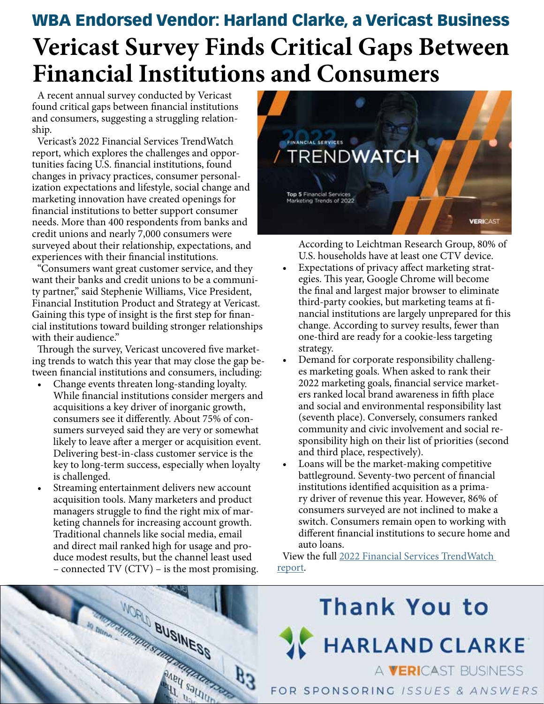## **Vericast Survey Finds Critical Gaps Between Financial Institutions and Consumers** WBA Endorsed Vendor: Harland Clarke, a Vericast Business

A recent annual survey conducted by Vericast found critical gaps between financial institutions and consumers, suggesting a struggling relationship.

Vericast's 2022 Financial Services TrendWatch report, which explores the challenges and opportunities facing U.S. financial institutions, found changes in privacy practices, consumer personalization expectations and lifestyle, social change and marketing innovation have created openings for financial institutions to better support consumer needs. More than 400 respondents from banks and credit unions and nearly 7,000 consumers were surveyed about their relationship, expectations, and experiences with their financial institutions.

"Consumers want great customer service, and they want their banks and credit unions to be a community partner," said Stephenie Williams, Vice President, Financial Institution Product and Strategy at Vericast. Gaining this type of insight is the first step for financial institutions toward building stronger relationships with their audience."

Through the survey, Vericast uncovered five marketing trends to watch this year that may close the gap between financial institutions and consumers, including:

- Change events threaten long-standing loyalty. While financial institutions consider mergers and acquisitions a key driver of inorganic growth, consumers see it differently. About 75% of consumers surveyed said they are very or somewhat likely to leave after a merger or acquisition event. Delivering best-in-class customer service is the key to long-term success, especially when loyalty is challenged.
- Streaming entertainment delivers new account acquisition tools. Many marketers and product managers struggle to find the right mix of marketing channels for increasing account growth. Traditional channels like social media, email and direct mail ranked high for usage and produce modest results, but the channel least used – connected TV (CTV) – is the most promising.



According to Leichtman Research Group, 80% of U.S. households have at least one CTV device.

- Expectations of privacy affect marketing strategies. This year, Google Chrome will become the final and largest major browser to eliminate third-party cookies, but marketing teams at financial institutions are largely unprepared for this change. According to survey results, fewer than one-third are ready for a cookie-less targeting strategy.
- Demand for corporate responsibility challenges marketing goals. When asked to rank their 2022 marketing goals, financial service marketers ranked local brand awareness in fifth place and social and environmental responsibility last (seventh place). Conversely, consumers ranked community and civic involvement and social responsibility high on their list of priorities (second and third place, respectively).
- Loans will be the market-making competitive battleground. Seventy-two percent of financial institutions identified acquisition as a primary driver of revenue this year. However, 86% of consumers surveyed are not inclined to make a switch. Consumers remain open to working with different financial institutions to secure home and auto loans.

View the full 2022 Financial Services TrendWatch report.



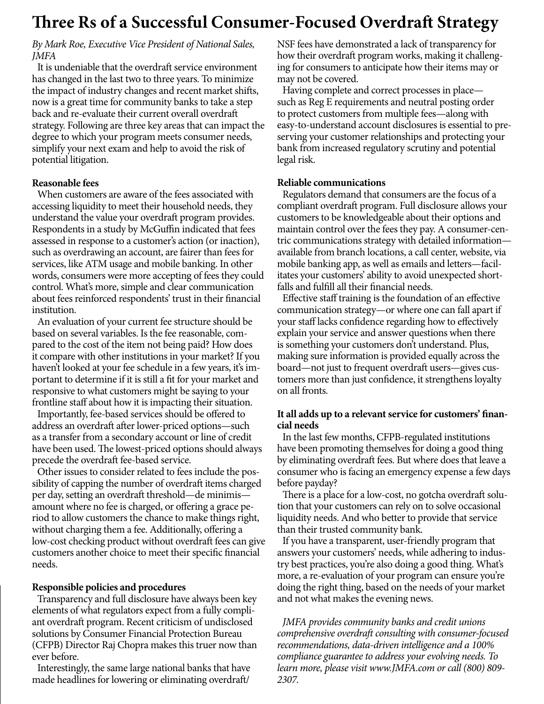### **Three Rs of a Successful Consumer-Focused Overdraft Strategy**

#### *By Mark Roe, Executive Vice President of National Sales, JMFA*

It is undeniable that the overdraft service environment has changed in the last two to three years. To minimize the impact of industry changes and recent market shifts, now is a great time for community banks to take a step back and re-evaluate their current overall overdraft strategy. Following are three key areas that can impact the degree to which your program meets consumer needs, simplify your next exam and help to avoid the risk of potential litigation.

#### **Reasonable fees**

When customers are aware of the fees associated with accessing liquidity to meet their household needs, they understand the value your overdraft program provides. Respondents in a study by McGuffin indicated that fees assessed in response to a customer's action (or inaction), such as overdrawing an account, are fairer than fees for services, like ATM usage and mobile banking. In other words, consumers were more accepting of fees they could control. What's more, simple and clear communication about fees reinforced respondents' trust in their financial institution.

An evaluation of your current fee structure should be based on several variables. Is the fee reasonable, compared to the cost of the item not being paid? How does it compare with other institutions in your market? If you haven't looked at your fee schedule in a few years, it's important to determine if it is still a fit for your market and responsive to what customers might be saying to your frontline staff about how it is impacting their situation.

Importantly, fee-based services should be offered to address an overdraft after lower-priced options—such as a transfer from a secondary account or line of credit have been used. The lowest-priced options should always precede the overdraft fee-based service.

Other issues to consider related to fees include the possibility of capping the number of overdraft items charged per day, setting an overdraft threshold—de minimis amount where no fee is charged, or offering a grace period to allow customers the chance to make things right, without charging them a fee. Additionally, offering a low-cost checking product without overdraft fees can give customers another choice to meet their specific financial needs.

#### **Responsible policies and procedures**

Transparency and full disclosure have always been key elements of what regulators expect from a fully compliant overdraft program. Recent criticism of undisclosed solutions by Consumer Financial Protection Bureau (CFPB) Director Raj Chopra makes this truer now than ever before.

Interestingly, the same large national banks that have made headlines for lowering or eliminating overdraft/ NSF fees have demonstrated a lack of transparency for how their overdraft program works, making it challenging for consumers to anticipate how their items may or may not be covered.

Having complete and correct processes in place such as Reg E requirements and neutral posting order to protect customers from multiple fees—along with easy-to-understand account disclosures is essential to preserving your customer relationships and protecting your bank from increased regulatory scrutiny and potential legal risk.

#### **Reliable communications**

Regulators demand that consumers are the focus of a compliant overdraft program. Full disclosure allows your customers to be knowledgeable about their options and maintain control over the fees they pay. A consumer-centric communications strategy with detailed information available from branch locations, a call center, website, via mobile banking app, as well as emails and letters—facilitates your customers' ability to avoid unexpected shortfalls and fulfill all their financial needs.

Effective staff training is the foundation of an effective communication strategy—or where one can fall apart if your staff lacks confidence regarding how to effectively explain your service and answer questions when there is something your customers don't understand. Plus, making sure information is provided equally across the board—not just to frequent overdraft users—gives customers more than just confidence, it strengthens loyalty on all fronts.

#### **It all adds up to a relevant service for customers' financial needs**

In the last few months, CFPB-regulated institutions have been promoting themselves for doing a good thing by eliminating overdraft fees. But where does that leave a consumer who is facing an emergency expense a few days before payday?

There is a place for a low-cost, no gotcha overdraft solution that your customers can rely on to solve occasional liquidity needs. And who better to provide that service than their trusted community bank.

If you have a transparent, user-friendly program that answers your customers' needs, while adhering to industry best practices, you're also doing a good thing. What's more, a re-evaluation of your program can ensure you're doing the right thing, based on the needs of your market and not what makes the evening news.

*JMFA provides community banks and credit unions comprehensive overdraft consulting with consumer-focused recommendations, data-driven intelligence and a 100% compliance guarantee to address your evolving needs. To learn more, please visit www.JMFA.com or call (800) 809- 2307.*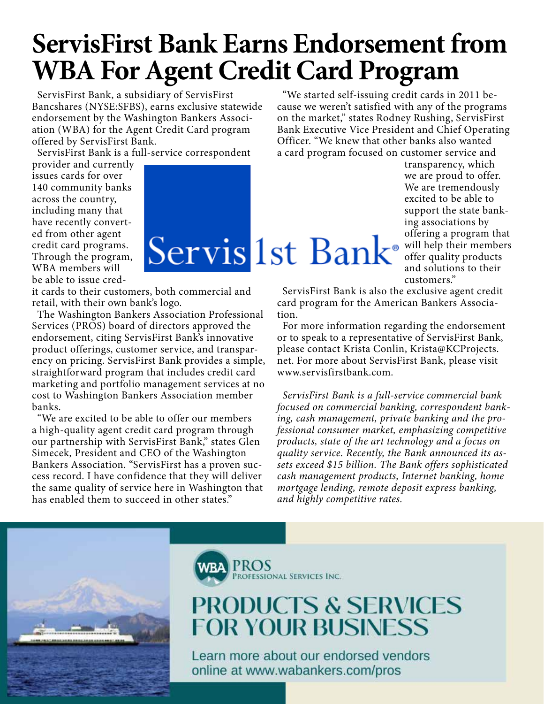# **ServisFirst Bank Earns Endorsement from WBA For Agent Credit Card Program**

ServisFirst Bank, a subsidiary of ServisFirst Bancshares (NYSE:SFBS), earns exclusive statewide endorsement by the Washington Bankers Association (WBA) for the Agent Credit Card program offered by ServisFirst Bank.

ServisFirst Bank is a full-service correspondent

provider and currently issues cards for over 140 community banks across the country, including many that have recently converted from other agent credit card programs. Through the program, WBA members will be able to issue cred-



a card program focused on customer service and transparency, which we are proud to offer. We are tremendously excited to be able to support the state banking associations by offering a program that will help their members offer quality products and solutions to their customers."

it cards to their customers, both commercial and retail, with their own bank's logo.

The Washington Bankers Association Professional Services (PROS) board of directors approved the endorsement, citing ServisFirst Bank's innovative product offerings, customer service, and transparency on pricing. ServisFirst Bank provides a simple, straightforward program that includes credit card marketing and portfolio management services at no cost to Washington Bankers Association member banks.

"We are excited to be able to offer our members a high-quality agent credit card program through our partnership with ServisFirst Bank," states Glen Simecek, President and CEO of the Washington Bankers Association. "ServisFirst has a proven success record. I have confidence that they will deliver the same quality of service here in Washington that has enabled them to succeed in other states."

ServisFirst Bank is also the exclusive agent credit card program for the American Bankers Association.

"We started self-issuing credit cards in 2011 because we weren't satisfied with any of the programs on the market," states Rodney Rushing, ServisFirst Bank Executive Vice President and Chief Operating Officer. "We knew that other banks also wanted

For more information regarding the endorsement or to speak to a representative of ServisFirst Bank, please contact Krista Conlin, Krista@KCProjects. net. For more about ServisFirst Bank, please visit www.servisfirstbank.com.

*ServisFirst Bank is a full-service commercial bank focused on commercial banking, correspondent banking, cash management, private banking and the professional consumer market, emphasizing competitive products, state of the art technology and a focus on quality service. Recently, the Bank announced its assets exceed \$15 billion. The Bank offers sophisticated cash management products, Internet banking, home mortgage lending, remote deposit express banking, and highly competitive rates.* 



?ROS ROFESSIONAL SERVICES INC.

## **PRODUCTS & SERVICES FOR YOUR BUSINESS**

Learn more about our endorsed vendors online at www.wabankers.com/pros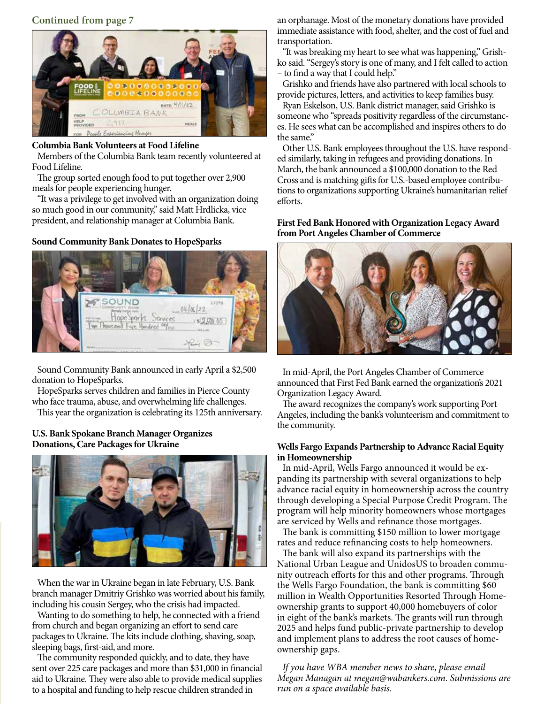#### **Continued from page 7**



#### **Columbia Bank Volunteers at Food Lifeline**

Members of the Columbia Bank team recently volunteered at Food Lifeline.

The group sorted enough food to put together over 2,900 meals for people experiencing hunger.

"It was a privilege to get involved with an organization doing so much good in our community," said Matt Hrdlicka, vice president, and relationship manager at Columbia Bank.

#### **Sound Community Bank Donates to HopeSparks**



Sound Community Bank announced in early April a \$2,500 donation to HopeSparks.

HopeSparks serves children and families in Pierce County who face trauma, abuse, and overwhelming life challenges. This year the organization is celebrating its 125th anniversary.

**U.S. Bank Spokane Branch Manager Organizes Donations, Care Packages for Ukraine**



When the war in Ukraine began in late February, U.S. Bank branch manager Dmitriy Grishko was worried about his family, including his cousin Sergey, who the crisis had impacted.

Wanting to do something to help, he connected with a friend from church and began organizing an effort to send care packages to Ukraine. The kits include clothing, shaving, soap, sleeping bags, first-aid, and more.

The community responded quickly, and to date, they have sent over 225 care packages and more than \$31,000 in financial aid to Ukraine. They were also able to provide medical supplies to a hospital and funding to help rescue children stranded in

an orphanage. Most of the monetary donations have provided immediate assistance with food, shelter, and the cost of fuel and transportation.

"It was breaking my heart to see what was happening," Grishko said. "Sergey's story is one of many, and I felt called to action – to find a way that I could help."

Grishko and friends have also partnered with local schools to provide pictures, letters, and activities to keep families busy.

Ryan Eskelson, U.S. Bank district manager, said Grishko is someone who "spreads positivity regardless of the circumstances. He sees what can be accomplished and inspires others to do the same."

Other U.S. Bank employees throughout the U.S. have responded similarly, taking in refugees and providing donations. In March, the bank announced a \$100,000 donation to the Red Cross and is matching gifts for U.S.-based employee contributions to organizations supporting Ukraine's humanitarian relief efforts.

#### **First Fed Bank Honored with Organization Legacy Award from Port Angeles Chamber of Commerce**



In mid-April, the Port Angeles Chamber of Commerce announced that First Fed Bank earned the organization's 2021 Organization Legacy Award.

The award recognizes the company's work supporting Port Angeles, including the bank's volunteerism and commitment to the community.

#### **Wells Fargo Expands Partnership to Advance Racial Equity in Homeownership**

In mid-April, Wells Fargo announced it would be expanding its partnership with several organizations to help advance racial equity in homeownership across the country through developing a Special Purpose Credit Program. The program will help minority homeowners whose mortgages are serviced by Wells and refinance those mortgages.

The bank is committing \$150 million to lower mortgage rates and reduce refinancing costs to help homeowners.

The bank will also expand its partnerships with the National Urban League and UnidosUS to broaden community outreach efforts for this and other programs. Through the Wells Fargo Foundation, the bank is committing \$60 million in Wealth Opportunities Resorted Through Homeownership grants to support 40,000 homebuyers of color in eight of the bank's markets. The grants will run through 2025 and helps fund public-private partnership to develop and implement plans to address the root causes of homeownership gaps.

*If you have WBA member news to share, please email Megan Managan at megan@wabankers.com. Submissions are run on a space available basis.*